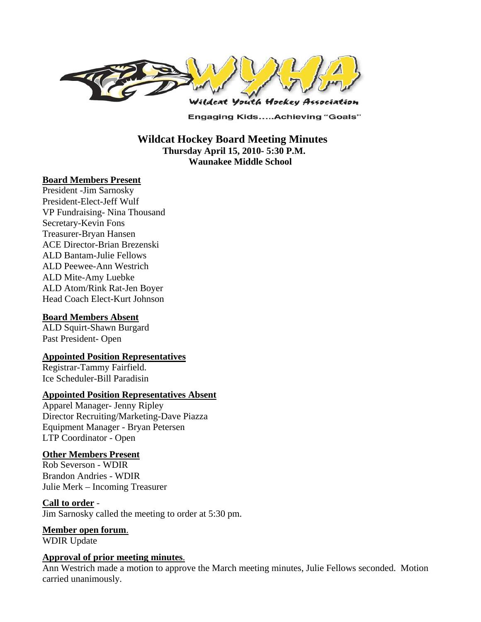

**Engaging Kids.....Achieving "Goals"** 

 **Wildcat Hockey Board Meeting Minutes Thursday April 15, 2010- 5:30 P.M. Waunakee Middle School** 

#### **Board Members Present**

President -Jim Sarnosky President-Elect-Jeff Wulf VP Fundraising- Nina Thousand Secretary-Kevin Fons Treasurer-Bryan Hansen ACE Director-Brian Brezenski ALD Bantam-Julie Fellows ALD Peewee-Ann Westrich ALD Mite-Amy Luebke ALD Atom/Rink Rat-Jen Boyer Head Coach Elect-Kurt Johnson

### **Board Members Absent**

ALD Squirt-Shawn Burgard Past President- Open

#### **Appointed Position Representatives**

Registrar-Tammy Fairfield. Ice Scheduler-Bill Paradisin

#### **Appointed Position Representatives Absent**

Apparel Manager- Jenny Ripley Director Recruiting/Marketing-Dave Piazza Equipment Manager - Bryan Petersen LTP Coordinator - Open

#### **Other Members Present**

Rob Severson - WDIR Brandon Andries - WDIR Julie Merk – Incoming Treasurer

#### **Call to order** -

Jim Sarnosky called the meeting to order at 5:30 pm.

# **Member open forum**.

WDIR Update

### **Approval of prior meeting minutes**.

Ann Westrich made a motion to approve the March meeting minutes, Julie Fellows seconded. Motion carried unanimously.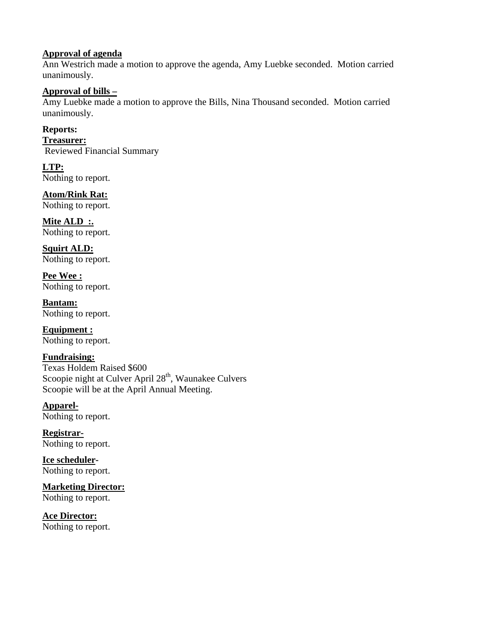# **Approval of agenda**

Ann Westrich made a motion to approve the agenda, Amy Luebke seconded. Motion carried unanimously.

## **Approval of bills –**

Amy Luebke made a motion to approve the Bills, Nina Thousand seconded. Motion carried unanimously.

**Reports:** 

**Treasurer:**  Reviewed Financial Summary

**LTP:**  Nothing to report.

**Atom/Rink Rat:** 

Nothing to report.

**Mite ALD :.**  Nothing to report.

**Squirt ALD:**  Nothing to report.

**Pee Wee :**  Nothing to report.

**Bantam:**  Nothing to report.

**Equipment :**  Nothing to report.

**Fundraising:** 

Texas Holdem Raised \$600 Scoopie night at Culver April 28<sup>th</sup>, Waunakee Culvers Scoopie will be at the April Annual Meeting.

**Apparel-**Nothing to report.

**Registrar-**Nothing to report.

**Ice scheduler-**Nothing to report.

**Marketing Director:**  Nothing to report.

**Ace Director:**  Nothing to report.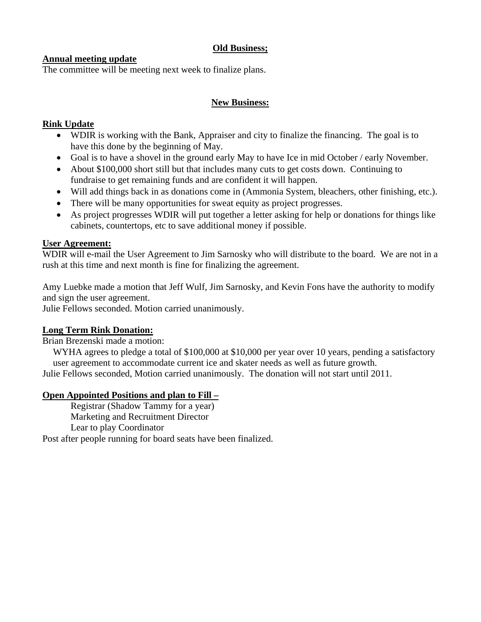# **Old Business;**

# **Annual meeting update**

The committee will be meeting next week to finalize plans.

# **New Business:**

# **Rink Update**

- WDIR is working with the Bank, Appraiser and city to finalize the financing. The goal is to have this done by the beginning of May.
- Goal is to have a shovel in the ground early May to have Ice in mid October / early November.
- About \$100,000 short still but that includes many cuts to get costs down. Continuing to fundraise to get remaining funds and are confident it will happen.
- Will add things back in as donations come in (Ammonia System, bleachers, other finishing, etc.).
- There will be many opportunities for sweat equity as project progresses.
- As project progresses WDIR will put together a letter asking for help or donations for things like cabinets, countertops, etc to save additional money if possible.

### **User Agreement:**

WDIR will e-mail the User Agreement to Jim Sarnosky who will distribute to the board. We are not in a rush at this time and next month is fine for finalizing the agreement.

Amy Luebke made a motion that Jeff Wulf, Jim Sarnosky, and Kevin Fons have the authority to modify and sign the user agreement.

Julie Fellows seconded. Motion carried unanimously.

# **Long Term Rink Donation:**

Brian Brezenski made a motion:

WYHA agrees to pledge a total of \$100,000 at \$10,000 per year over 10 years, pending a satisfactory user agreement to accommodate current ice and skater needs as well as future growth.

Julie Fellows seconded, Motion carried unanimously. The donation will not start until 2011.

### **Open Appointed Positions and plan to Fill –**

Registrar (Shadow Tammy for a year) Marketing and Recruitment Director Lear to play Coordinator

Post after people running for board seats have been finalized.